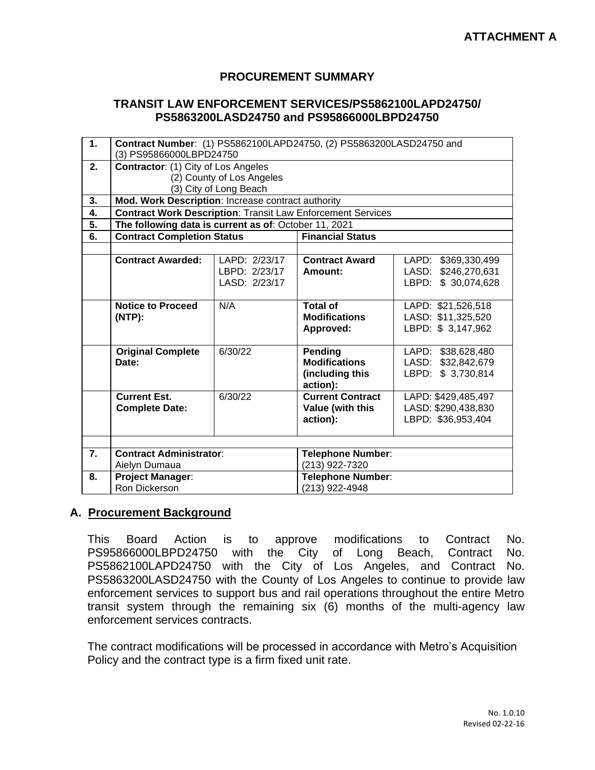## **PROCUREMENT SUMMARY**

## **TRANSIT LAW ENFORCEMENT SERVICES/PS5862100LAPD24750/ PS5863200LASD24750 and PS95866000LBPD24750**

| 1.               | Contract Number: (1) PS5862100LAPD24750, (2) PS5863200LASD24750 and |               |                          |                     |  |  |
|------------------|---------------------------------------------------------------------|---------------|--------------------------|---------------------|--|--|
|                  | (3) PS95866000LBPD24750                                             |               |                          |                     |  |  |
| 2.               | Contractor: (1) City of Los Angeles                                 |               |                          |                     |  |  |
|                  | (2) County of Los Angeles                                           |               |                          |                     |  |  |
|                  | (3) City of Long Beach                                              |               |                          |                     |  |  |
| 3.               | Mod. Work Description: Increase contract authority                  |               |                          |                     |  |  |
| 4.               | <b>Contract Work Description: Transit Law Enforcement Services</b>  |               |                          |                     |  |  |
| 5.               | The following data is current as of: October 11, 2021               |               |                          |                     |  |  |
| 6.               | <b>Contract Completion Status</b>                                   |               | <b>Financial Status</b>  |                     |  |  |
|                  |                                                                     |               |                          |                     |  |  |
|                  | <b>Contract Awarded:</b>                                            | LAPD: 2/23/17 | <b>Contract Award</b>    | LAPD: \$369,330,499 |  |  |
|                  |                                                                     | LBPD: 2/23/17 | Amount:                  | LASD: \$246,270,631 |  |  |
|                  |                                                                     | LASD: 2/23/17 |                          | LBPD: \$ 30,074,628 |  |  |
|                  |                                                                     |               |                          |                     |  |  |
|                  | <b>Notice to Proceed</b>                                            | N/A           | <b>Total of</b>          | LAPD: \$21,526,518  |  |  |
|                  | $(NTP)$ :                                                           |               | <b>Modifications</b>     | LASD: \$11,325,520  |  |  |
|                  |                                                                     |               | Approved:                | LBPD: \$3,147,962   |  |  |
|                  |                                                                     |               |                          |                     |  |  |
|                  | <b>Original Complete</b>                                            | 6/30/22       | <b>Pending</b>           | LAPD: \$38,628,480  |  |  |
|                  | Date:                                                               |               | <b>Modifications</b>     | LASD: \$32,842,679  |  |  |
|                  |                                                                     |               | (including this          | LBPD: \$ 3,730,814  |  |  |
|                  |                                                                     |               | action):                 |                     |  |  |
|                  | <b>Current Est.</b>                                                 | 6/30/22       | <b>Current Contract</b>  | LAPD: \$429,485,497 |  |  |
|                  | <b>Complete Date:</b>                                               |               | Value (with this         | LASD: \$290,438,830 |  |  |
|                  |                                                                     |               | action):                 | LBPD: \$36,953,404  |  |  |
|                  |                                                                     |               |                          |                     |  |  |
|                  |                                                                     |               |                          |                     |  |  |
| $\overline{7}$ . | <b>Contract Administrator:</b>                                      |               | <b>Telephone Number:</b> |                     |  |  |
|                  | Aielyn Dumaua                                                       |               | (213) 922-7320           |                     |  |  |
| 8.               | <b>Project Manager:</b>                                             |               | Telephone Number:        |                     |  |  |
|                  | Ron Dickerson                                                       |               | (213) 922-4948           |                     |  |  |

## **A. Procurement Background**

This Board Action is to approve modifications to Contract No. PS95866000LBPD24750 with the City of Long Beach, Contract No. PS5862100LAPD24750 with the City of Los Angeles, and Contract No. PS5863200LASD24750 with the County of Los Angeles to continue to provide law enforcement services to support bus and rail operations throughout the entire Metro transit system through the remaining six (6) months of the multi-agency law enforcement services contracts.

The contract modifications will be processed in accordance with Metro's Acquisition Policy and the contract type is a firm fixed unit rate.